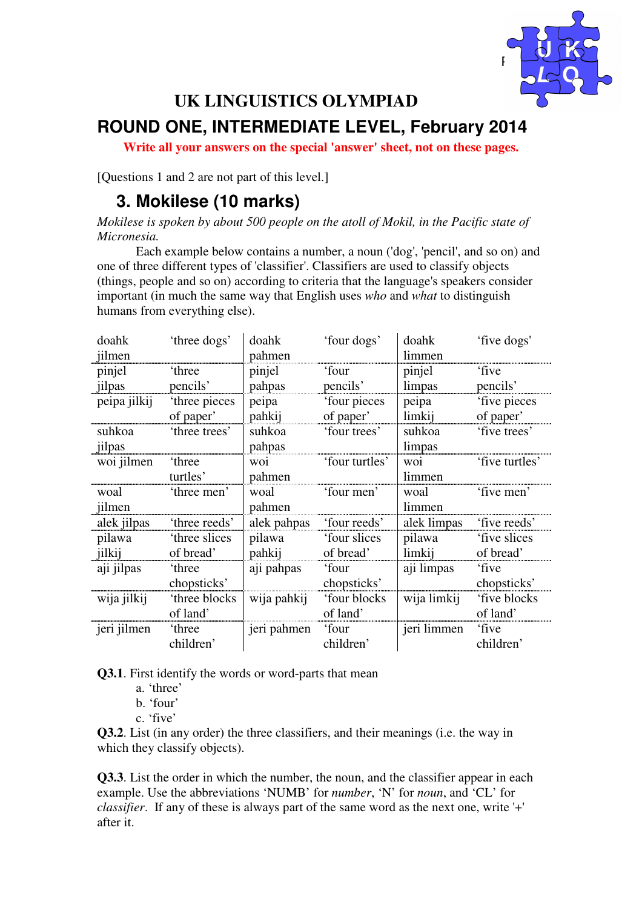

# **UK LINGUISTICS OLYMPIAD ROUND ONE, INTERMEDIATE LEVEL, February 2014**

**Write all your answers on the special 'answer' sheet, not on these pages.** 

[Questions 1 and 2 are not part of this level.]

#### **3. Mokilese (10 marks)**

*Mokilese is spoken by about 500 people on the atoll of Mokil, in the Pacific state of Micronesia.*

 Each example below contains a number, a noun ('dog', 'pencil', and so on) and one of three different types of 'classifier'. Classifiers are used to classify objects (things, people and so on) according to criteria that the language's speakers consider important (in much the same way that English uses *who* and *what* to distinguish humans from everything else).

| doahk        | 'three dogs'  | doahk       | 'four dogs'    | doahk       | 'five dogs'    |
|--------------|---------------|-------------|----------------|-------------|----------------|
| jilmen       |               | pahmen      |                | limmen      |                |
| pinjel       | 'three        | pinjel      | 'four          | pinjel      | 'five          |
| jilpas       | pencils'      | pahpas      | pencils'       | limpas      | pencils'       |
| peipa jilkij | 'three pieces | peipa       | 'four pieces   | peipa       | 'five pieces   |
|              | of paper'     | pahkij      | of paper'      | limkij      | of paper'      |
| suhkoa       | 'three trees' | suhkoa      | 'four trees'   | suhkoa      | 'five trees'   |
| jilpas       |               | pahpas      |                | limpas      |                |
| woi jilmen   | 'three        | woi         | 'four turtles' | woi         | 'five turtles' |
|              | turtles'      | pahmen      |                | limmen      |                |
| woal         | 'three men'   | woal        | 'four men'     | woal        | 'five men'     |
| jilmen       |               | pahmen      |                | limmen      |                |
| alek jilpas  | 'three reeds' | alek pahpas | 'four reeds'   | alek limpas | 'five reeds'   |
| pilawa       | 'three slices | pilawa      | 'four slices   | pilawa      | 'five slices   |
| jilkij       | of bread'     | pahkij      | of bread'      | limkij      | of bread'      |
| aji jilpas   | 'three        | aji pahpas  | 'four          | aji limpas  | 'five          |
|              | chopsticks'   |             | chopsticks'    |             | chopsticks'    |
| wija jilkij  | 'three blocks | wija pahkij | 'four blocks   | wija limkij | 'five blocks   |
|              | of land'      |             | of land'       |             | of land'       |
| jeri jilmen  | 'three        | jeri pahmen | 'four          | jeri limmen | 'five          |
|              | children'     |             | children'      |             | children'      |

**Q3.1**. First identify the words or word-parts that mean

- a. 'three'
- b. 'four'
- c. 'five'

**Q3.2**. List (in any order) the three classifiers, and their meanings (i.e. the way in which they classify objects).

**Q3.3**. List the order in which the number, the noun, and the classifier appear in each example. Use the abbreviations 'NUMB' for *number*, 'N' for *noun*, and 'CL' for *classifier*. If any of these is always part of the same word as the next one, write '+' after it.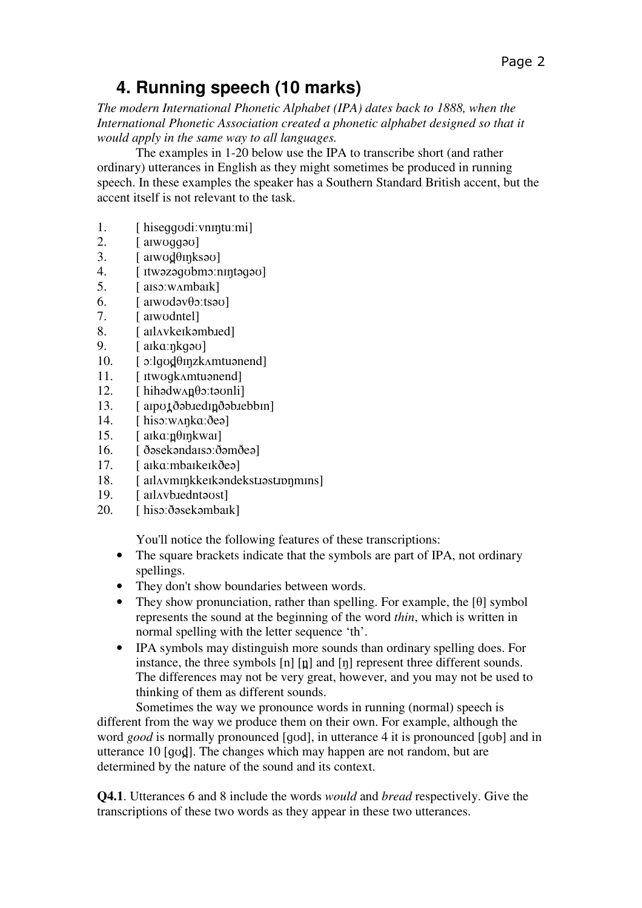## **4. Running speech (10 marks)**

*The modern International Phonetic Alphabet (IPA) dates back to 1888, when the International Phonetic Association created a phonetic alphabet designed so that it would apply in the same way to all languages.* 

 The examples in 1-20 below use the IPA to transcribe short (and rather ordinary) utterances in English as they might sometimes be produced in running speech. In these examples the speaker has a Southern Standard British accent, but the accent itself is not relevant to the task.

- 1. [ hiseɡɡʊdiːvnɪŋtuːmi]
- 2. [ aɪwʊɡɡəʊ]
- $3.$  [ alwod $\theta$  in ks<sup>30</sup>]
- 4. [ ɪtwəzəɡʊbmɔːnɪŋtəɡəʊ]
- 5. [ aɪsɔːwʌmbaɪk]
- 6.  $[$  alwod $\partial$ v $\theta$ o:ts $\partial$
- 7. [ aɪwʊdntel]
- 8. [aIlAykeIkəmb.red]
- 9. [ aɪkɑːŋkɡəʊ]
- $10.$  [  $\sigma$ :lgod $\theta$ inzk $\Lambda$ mtuənend]
- 11. [ ɪtwʊɡkʌmtuənend]
- $12.$  [ hihədw $\Delta n$ **p** $\Theta$ *c*: təvnli]
- 13.  $[aipot \delta \Phi \text{ is } d]$
- 14. [ hisɔːwʌŋkɑːðeə]
- 15.  $[alka:100n]$
- 16. [ ðəsekəndaɪsɔːðəmðeə]
- 17. [ aɪkɑːmbaɪkeɪkðeə]
- 18. [ aɪlʌvmɪŋkkeɪkəndekstɪəstɪpŋmɪns]
- 19. [aIlAybardntawst]
- 20. [ hisɔːðəsekəmbaɪk]

You'll notice the following features of these transcriptions:

- The square brackets indicate that the symbols are part of IPA, not ordinary spellings.
- They don't show boundaries between words.
- They show pronunciation, rather than spelling. For example, the [θ] symbol represents the sound at the beginning of the word *thin*, which is written in normal spelling with the letter sequence 'th'.
- IPA symbols may distinguish more sounds than ordinary spelling does. For instance, the three symbols  $[n]$   $[n]$  and  $[n]$  represent three different sounds. The differences may not be very great, however, and you may not be used to thinking of them as different sounds.

 Sometimes the way we pronounce words in running (normal) speech is different from the way we produce them on their own. For example, although the word *good* is normally pronounced [ɡʊd], in utterance 4 it is pronounced [ɡʊb] and in utterance 10 [qvd]. The changes which may happen are not random, but are determined by the nature of the sound and its context.

**Q4.1**. Utterances 6 and 8 include the words *would* and *bread* respectively. Give the transcriptions of these two words as they appear in these two utterances.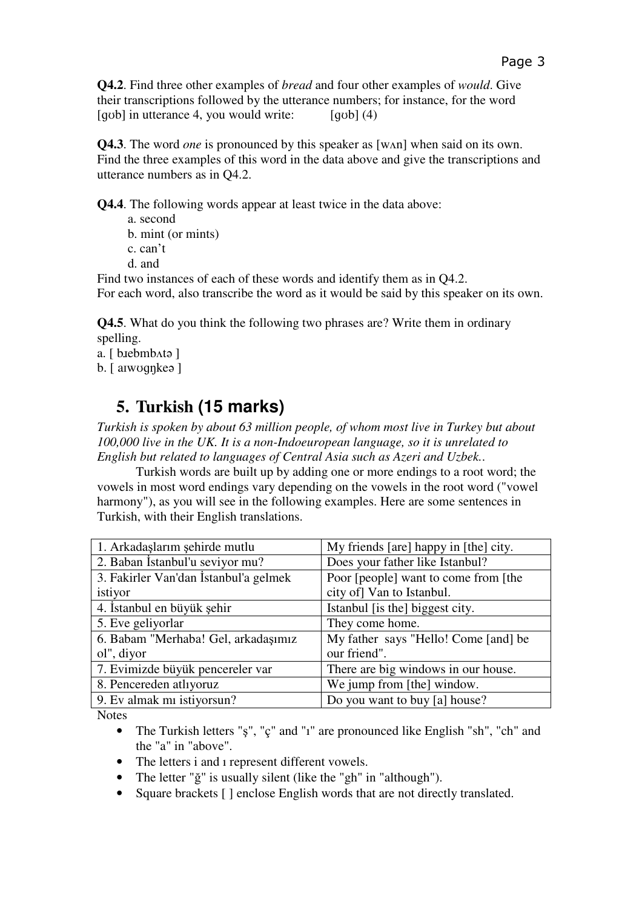**Q4.2**. Find three other examples of *bread* and four other examples of *would*. Give their transcriptions followed by the utterance numbers; for instance, for the word  $\lceil$  qub in utterance 4, you would write:  $\lceil$  qub  $\rceil$  (4)

**Q4.3**. The word *one* is pronounced by this speaker as [wʌn] when said on its own. Find the three examples of this word in the data above and give the transcriptions and utterance numbers as in Q4.2.

**Q4.4**. The following words appear at least twice in the data above:

- a. second
- b. mint (or mints)
- c. can't
- d. and

Find two instances of each of these words and identify them as in Q4.2. For each word, also transcribe the word as it would be said by this speaker on its own.

**Q4.5**. What do you think the following two phrases are? Write them in ordinary spelling.

- a. [ b.iebmb^ta ]
- b. [ aɪwʊɡŋkeə ]

#### **5. Turkish (15 marks)**

*Turkish is spoken by about 63 million people, of whom most live in Turkey but about 100,000 live in the UK. It is a non-Indoeuropean language, so it is unrelated to English but related to languages of Central Asia such as Azeri and Uzbek.*.

 Turkish words are built up by adding one or more endings to a root word; the vowels in most word endings vary depending on the vowels in the root word ("vowel harmony"), as you will see in the following examples. Here are some sentences in Turkish, with their English translations.

| 1. Arkadaşlarım şehirde mutlu         | My friends [are] happy in [the] city. |  |  |
|---------------------------------------|---------------------------------------|--|--|
| 2. Baban İstanbul'u seviyor mu?       | Does your father like Istanbul?       |  |  |
| 3. Fakirler Van'dan İstanbul'a gelmek | Poor [people] want to come from [the  |  |  |
| istiyor                               | city of] Van to Istanbul.             |  |  |
| 4. İstanbul en büyük şehir            | Istanbul [is the] biggest city.       |  |  |
| 5. Eve geliyorlar                     | They come home.                       |  |  |
| 6. Babam "Merhaba! Gel, arkadaşımız   | My father says "Hello! Come [and] be  |  |  |
| ol", diyor                            | our friend".                          |  |  |
| 7. Evimizde büyük pencereler var      | There are big windows in our house.   |  |  |
| 8. Pencereden atlıyoruz               | We jump from [the] window.            |  |  |
| 9. Ev almak mi istiyorsun?            | Do you want to buy [a] house?         |  |  |

**Notes** 

- The Turkish letters "ş", "ç" and "i" are pronounced like English "sh", "ch" and the "a" in "above".
- The letters i and i represent different vowels.
- The letter "ğ" is usually silent (like the "gh" in "although").
- Square brackets [ ] enclose English words that are not directly translated.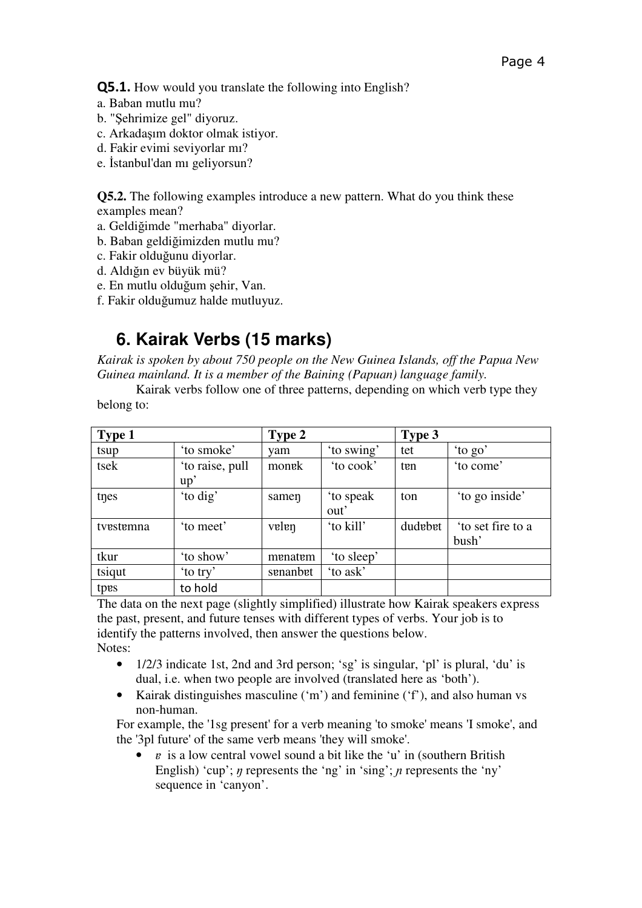Q5.1. How would you translate the following into English?

- a. Baban mutlu mu?
- b. "Şehrimize gel" diyoruz.
- c. Arkadaşım doktor olmak istiyor.
- d. Fakir evimi seviyorlar mı?
- e. İstanbul'dan mı geliyorsun?

**Q5.2.** The following examples introduce a new pattern. What do you think these examples mean?

- a. Geldiğimde "merhaba" diyorlar.
- b. Baban geldiğimizden mutlu mu?
- c. Fakir olduğunu diyorlar.
- d. Aldığın ev büyük mü?
- e. En mutlu olduğum şehir, Van.
- f. Fakir olduğumuz halde mutluyuz.

### **6. Kairak Verbs (15 marks)**

*Kairak is spoken by about 750 people on the New Guinea Islands, off the Papua New Guinea mainland. It is a member of the Baining (Papuan) language family.* 

 Kairak verbs follow one of three patterns, depending on which verb type they belong to:

| Type 1    |                 | Type 2   |            | Type 3  |                  |
|-----------|-----------------|----------|------------|---------|------------------|
| tsup      | 'to smoke'      | vam      | 'to swing' | tet     | 'to go'          |
| tsek      | 'to raise, pull | monek    | to cook'   | ten     | 'to come'        |
|           | up'             |          |            |         |                  |
| tnes      | 'to dig'        | samen    | to speak   | ton     | 'to go inside'   |
|           |                 |          | out'       |         |                  |
| tvestemna | 'to meet'       | velen    | 'to kill'  | dudebet | to set fire to a |
|           |                 |          |            |         | bush'            |
| tkur      | 'to show'       | menatem  | 'to sleep' |         |                  |
| tsiqut    | 'to try'        | senanbet | 'to ask'   |         |                  |
| tpes      | to hold         |          |            |         |                  |

The data on the next page (slightly simplified) illustrate how Kairak speakers express the past, present, and future tenses with different types of verbs. Your job is to identify the patterns involved, then answer the questions below. Notes:

- 1/2/3 indicate 1st, 2nd and 3rd person; 'sg' is singular, 'pl' is plural, 'du' is dual, i.e. when two people are involved (translated here as 'both').
- Kairak distinguishes masculine ('m') and feminine ('f'), and also human vs non-human.

For example, the '1sg present' for a verb meaning 'to smoke' means 'I smoke', and the '3pl future' of the same verb means 'they will smoke'.

• *e* is a low central vowel sound a bit like the 'u' in (southern British English) 'cup';  $\eta$  represents the 'ng' in 'sing';  $\eta$  represents the 'ny' sequence in 'canyon'.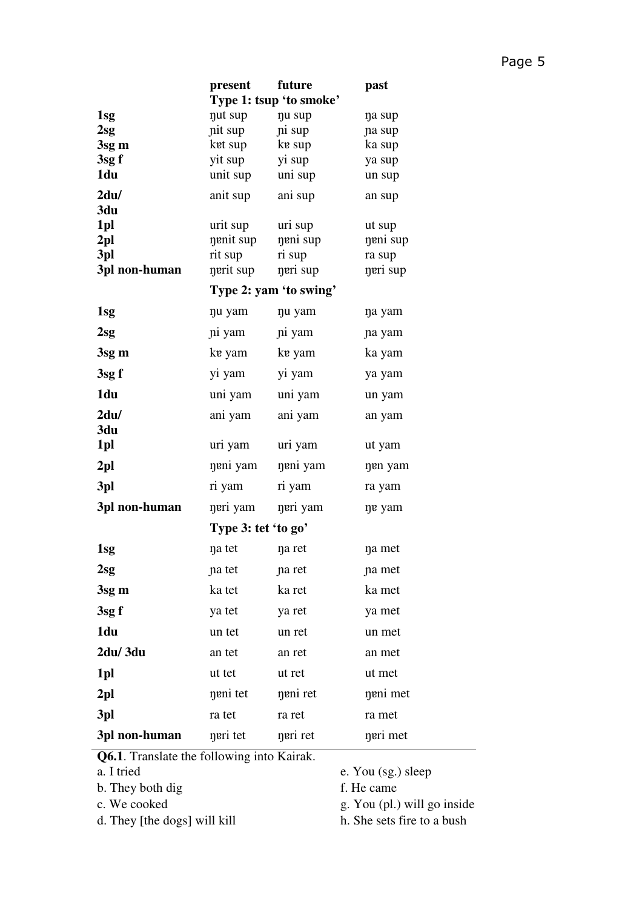|                 | present                 | future                 | past             |
|-----------------|-------------------------|------------------------|------------------|
|                 | Type 1: tsup 'to smoke' |                        |                  |
| 1sg             | nut sup                 | nu sup                 | na sup           |
| $2$ sg          | nit sup                 | ni sup                 | na sup           |
| 3sg m           | ket sup                 | ke sup                 | ka sup           |
| 3sgf<br>1du     | yit sup<br>unit sup     | yi sup<br>uni sup      | ya sup<br>un sup |
|                 |                         |                        |                  |
| 2du/<br>3du     | anit sup                | ani sup                | an sup           |
| 1pl             | urit sup                | uri sup                | ut sup           |
| 2 <sub>pl</sub> | nenit sup               | neni sup               | neni sup         |
| 3pl             | rit sup                 | ri sup                 | ra sup           |
| 3pl non-human   | nerit sup               | neri sup               | neri sup         |
|                 |                         | Type 2: yam 'to swing' |                  |
| 1sg             | nu yam                  | nu yam                 | na yam           |
| $2$ sg          | ni yam                  | ni yam                 | na yam           |
| 3sg m           | ke yam                  | ke yam                 | ka yam           |
| 3sgf            | yi yam                  | yi yam                 | ya yam           |
| 1du             | uni yam                 | uni yam                | un yam           |
| 2du/<br>3du     | ani yam                 | ani yam                | an yam           |
| 1pl             | uri yam                 | uri yam                | ut yam           |
| 2 <sub>pl</sub> | neni yam                | neni yam               | nen yam          |
| 3pl             | ri yam                  | ri yam                 | ra yam           |
| 3pl non-human   | neri yam                | neri yam               | ne yam           |
|                 | Type 3: tet 'to go'     |                        |                  |
| 1 <sub>sg</sub> | na tet                  | na ret                 | na met           |
| 2sg             | na tet                  | na ret                 | na met           |
| 3sg m           | ka tet                  | ka ret                 | ka met           |
| 3sgf            | ya tet                  | ya ret                 | ya met           |
| 1du             | un tet                  | un ret                 | un met           |
| 2du/3du         | an tet                  | an ret                 | an met           |
| 1pl             | ut tet                  | ut ret                 | ut met           |
| 2 <sub>pl</sub> | neni tet                | neni ret               | neni met         |
| 3pl             | ra tet                  | ra ret                 | ra met           |
| 3pl non-human   | neri tet                | neri ret               | neri met         |

**Q6.1**. Translate the following into Kairak.

- a. I tried
- b. They both dig
- c. We cooked
- d. They [the dogs] will kill
- e. You (sg.) sleep
- f. He came
- g. You (pl.) will go inside
- h. She sets fire to a bush